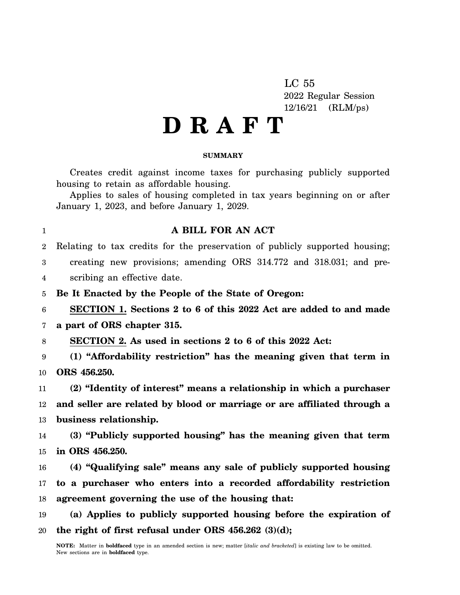LC 55 2022 Regular Session 12/16/21 (RLM/ps)

# **D R A F T**

#### **SUMMARY**

Creates credit against income taxes for purchasing publicly supported housing to retain as affordable housing.

Applies to sales of housing completed in tax years beginning on or after January 1, 2023, and before January 1, 2029.

## **A BILL FOR AN ACT**

 $\mathfrak{D}$ Relating to tax credits for the preservation of publicly supported housing;

3 4 creating new provisions; amending ORS 314.772 and 318.031; and prescribing an effective date.

5 **Be It Enacted by the People of the State of Oregon:**

6 **SECTION 1. Sections 2 to 6 of this 2022 Act are added to and made**

7 **a part of ORS chapter 315.**

1

8 **SECTION 2. As used in sections 2 to 6 of this 2022 Act:**

9 10 **(1) "Affordability restriction" has the meaning given that term in ORS 456.250.**

11 12 13 **(2) "Identity of interest" means a relationship in which a purchaser and seller are related by blood or marriage or are affiliated through a business relationship.**

14 15 **(3) "Publicly supported housing" has the meaning given that term in ORS 456.250.**

16 17 18 **(4) "Qualifying sale" means any sale of publicly supported housing to a purchaser who enters into a recorded affordability restriction agreement governing the use of the housing that:**

19 20 **(a) Applies to publicly supported housing before the expiration of the right of first refusal under ORS 456.262 (3)(d);**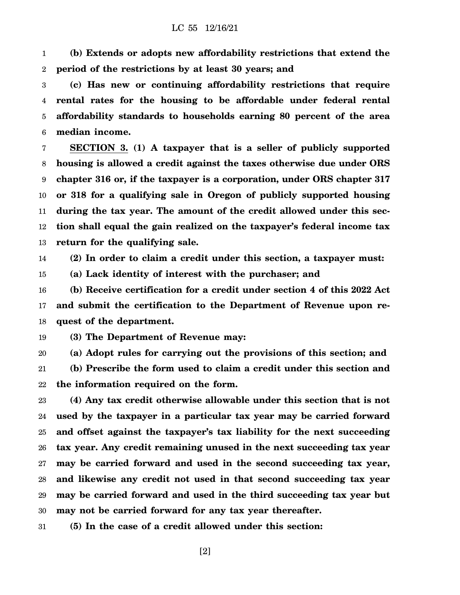1 2 **(b) Extends or adopts new affordability restrictions that extend the period of the restrictions by at least 30 years; and**

3 4 5 6 **(c) Has new or continuing affordability restrictions that require rental rates for the housing to be affordable under federal rental affordability standards to households earning 80 percent of the area median income.**

7 8 9 10 11 12 13 **SECTION 3. (1) A taxpayer that is a seller of publicly supported housing is allowed a credit against the taxes otherwise due under ORS chapter 316 or, if the taxpayer is a corporation, under ORS chapter 317 or 318 for a qualifying sale in Oregon of publicly supported housing during the tax year. The amount of the credit allowed under this section shall equal the gain realized on the taxpayer's federal income tax return for the qualifying sale.**

14 **(2) In order to claim a credit under this section, a taxpayer must:**

15 **(a) Lack identity of interest with the purchaser; and**

16 17 18 **(b) Receive certification for a credit under section 4 of this 2022 Act and submit the certification to the Department of Revenue upon request of the department.**

19 **(3) The Department of Revenue may:**

20 21 22 **(a) Adopt rules for carrying out the provisions of this section; and (b) Prescribe the form used to claim a credit under this section and the information required on the form.**

23 24 25 26 27 28 29 30 **(4) Any tax credit otherwise allowable under this section that is not used by the taxpayer in a particular tax year may be carried forward and offset against the taxpayer's tax liability for the next succeeding tax year. Any credit remaining unused in the next succeeding tax year may be carried forward and used in the second succeeding tax year, and likewise any credit not used in that second succeeding tax year may be carried forward and used in the third succeeding tax year but may not be carried forward for any tax year thereafter.**

31 **(5) In the case of a credit allowed under this section:**

[2]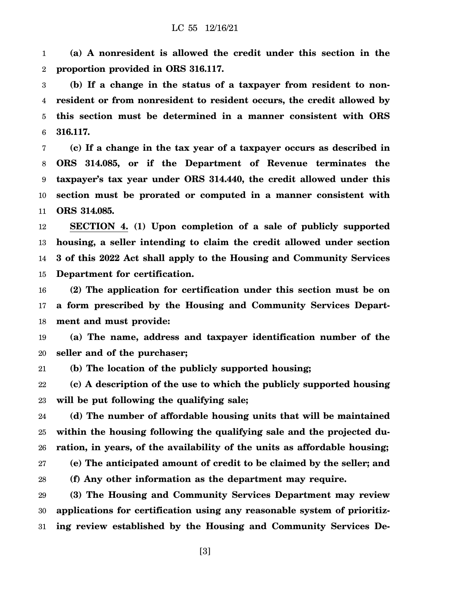1 2 **(a) A nonresident is allowed the credit under this section in the proportion provided in ORS 316.117.**

3 4 5 6 **(b) If a change in the status of a taxpayer from resident to nonresident or from nonresident to resident occurs, the credit allowed by this section must be determined in a manner consistent with ORS 316.117.**

7 8 9 10 11 **(c) If a change in the tax year of a taxpayer occurs as described in ORS 314.085, or if the Department of Revenue terminates the taxpayer's tax year under ORS 314.440, the credit allowed under this section must be prorated or computed in a manner consistent with ORS 314.085.**

12 13 14 15 **SECTION 4. (1) Upon completion of a sale of publicly supported housing, a seller intending to claim the credit allowed under section 3 of this 2022 Act shall apply to the Housing and Community Services Department for certification.**

16 17 18 **(2) The application for certification under this section must be on a form prescribed by the Housing and Community Services Department and must provide:**

19 20 **(a) The name, address and taxpayer identification number of the seller and of the purchaser;**

21 **(b) The location of the publicly supported housing;**

22 23 **(c) A description of the use to which the publicly supported housing will be put following the qualifying sale;**

24 25 26 27 28 **(d) The number of affordable housing units that will be maintained within the housing following the qualifying sale and the projected duration, in years, of the availability of the units as affordable housing; (e) The anticipated amount of credit to be claimed by the seller; and (f) Any other information as the department may require.**

29 30 31 **(3) The Housing and Community Services Department may review applications for certification using any reasonable system of prioritizing review established by the Housing and Community Services De-**

[3]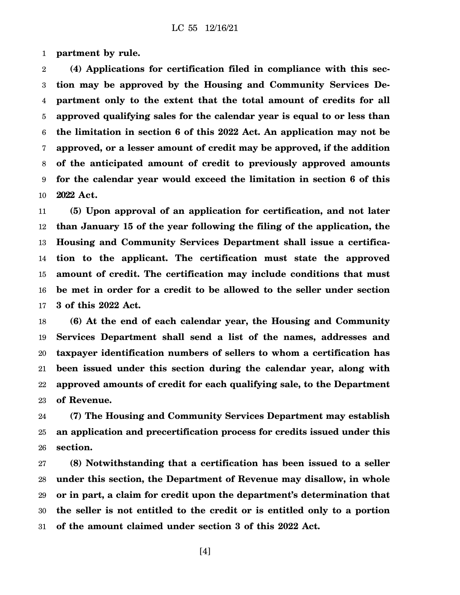1 **partment by rule.**

2 3 4 5 6 7 8 9 10 **(4) Applications for certification filed in compliance with this section may be approved by the Housing and Community Services Department only to the extent that the total amount of credits for all approved qualifying sales for the calendar year is equal to or less than the limitation in section 6 of this 2022 Act. An application may not be approved, or a lesser amount of credit may be approved, if the addition of the anticipated amount of credit to previously approved amounts for the calendar year would exceed the limitation in section 6 of this 2022 Act.**

11 12 13 14 15 16 17 **(5) Upon approval of an application for certification, and not later than January 15 of the year following the filing of the application, the Housing and Community Services Department shall issue a certification to the applicant. The certification must state the approved amount of credit. The certification may include conditions that must be met in order for a credit to be allowed to the seller under section 3 of this 2022 Act.**

18 19 20 21 22 23 **(6) At the end of each calendar year, the Housing and Community Services Department shall send a list of the names, addresses and taxpayer identification numbers of sellers to whom a certification has been issued under this section during the calendar year, along with approved amounts of credit for each qualifying sale, to the Department of Revenue.**

24 25 26 **(7) The Housing and Community Services Department may establish an application and precertification process for credits issued under this section.**

27 28 29 30 31 **(8) Notwithstanding that a certification has been issued to a seller under this section, the Department of Revenue may disallow, in whole or in part, a claim for credit upon the department's determination that the seller is not entitled to the credit or is entitled only to a portion of the amount claimed under section 3 of this 2022 Act.**

[4]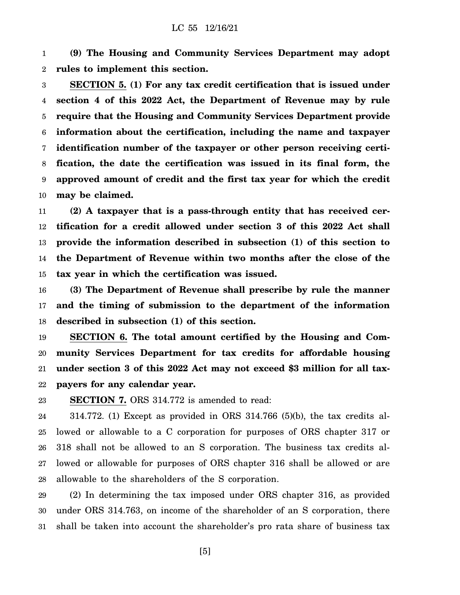1 2 **(9) The Housing and Community Services Department may adopt rules to implement this section.**

3 4 5 6 7 8 9 10 **SECTION 5. (1) For any tax credit certification that is issued under section 4 of this 2022 Act, the Department of Revenue may by rule require that the Housing and Community Services Department provide information about the certification, including the name and taxpayer identification number of the taxpayer or other person receiving certification, the date the certification was issued in its final form, the approved amount of credit and the first tax year for which the credit may be claimed.**

11 12 13 14 15 **(2) A taxpayer that is a pass-through entity that has received certification for a credit allowed under section 3 of this 2022 Act shall provide the information described in subsection (1) of this section to the Department of Revenue within two months after the close of the tax year in which the certification was issued.**

16 17 18 **(3) The Department of Revenue shall prescribe by rule the manner and the timing of submission to the department of the information described in subsection (1) of this section.**

19 20 21 22 **SECTION 6. The total amount certified by the Housing and Community Services Department for tax credits for affordable housing under section 3 of this 2022 Act may not exceed \$3 million for all taxpayers for any calendar year.**

23 **SECTION 7.** ORS 314.772 is amended to read:

24 25 26 27 28 314.772. (1) Except as provided in ORS 314.766 (5)(b), the tax credits allowed or allowable to a C corporation for purposes of ORS chapter 317 or 318 shall not be allowed to an S corporation. The business tax credits allowed or allowable for purposes of ORS chapter 316 shall be allowed or are allowable to the shareholders of the S corporation.

29 30 31 (2) In determining the tax imposed under ORS chapter 316, as provided under ORS 314.763, on income of the shareholder of an S corporation, there shall be taken into account the shareholder's pro rata share of business tax

[5]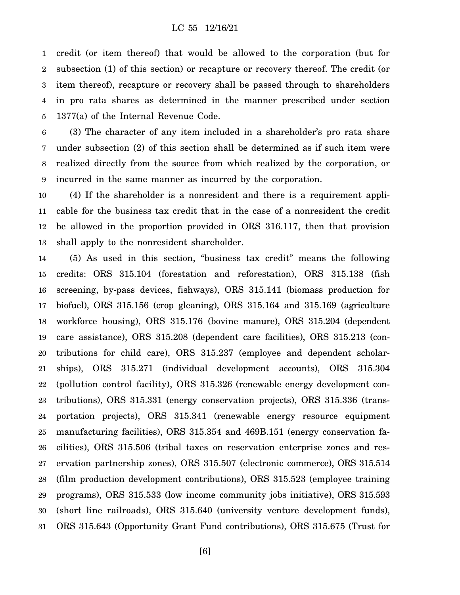### LC 55 12/16/21

1 2 3 4 5 credit (or item thereof) that would be allowed to the corporation (but for subsection (1) of this section) or recapture or recovery thereof. The credit (or item thereof), recapture or recovery shall be passed through to shareholders in pro rata shares as determined in the manner prescribed under section 1377(a) of the Internal Revenue Code.

6 7 8 9 (3) The character of any item included in a shareholder's pro rata share under subsection (2) of this section shall be determined as if such item were realized directly from the source from which realized by the corporation, or incurred in the same manner as incurred by the corporation.

10 11 12 13 (4) If the shareholder is a nonresident and there is a requirement applicable for the business tax credit that in the case of a nonresident the credit be allowed in the proportion provided in ORS 316.117, then that provision shall apply to the nonresident shareholder.

14 15 16 17 18 19 20 21 22 23 24 25 26 27 28 29 30 31 (5) As used in this section, "business tax credit" means the following credits: ORS 315.104 (forestation and reforestation), ORS 315.138 (fish screening, by-pass devices, fishways), ORS 315.141 (biomass production for biofuel), ORS 315.156 (crop gleaning), ORS 315.164 and 315.169 (agriculture workforce housing), ORS 315.176 (bovine manure), ORS 315.204 (dependent care assistance), ORS 315.208 (dependent care facilities), ORS 315.213 (contributions for child care), ORS 315.237 (employee and dependent scholarships), ORS 315.271 (individual development accounts), ORS 315.304 (pollution control facility), ORS 315.326 (renewable energy development contributions), ORS 315.331 (energy conservation projects), ORS 315.336 (transportation projects), ORS 315.341 (renewable energy resource equipment manufacturing facilities), ORS 315.354 and 469B.151 (energy conservation facilities), ORS 315.506 (tribal taxes on reservation enterprise zones and reservation partnership zones), ORS 315.507 (electronic commerce), ORS 315.514 (film production development contributions), ORS 315.523 (employee training programs), ORS 315.533 (low income community jobs initiative), ORS 315.593 (short line railroads), ORS 315.640 (university venture development funds), ORS 315.643 (Opportunity Grant Fund contributions), ORS 315.675 (Trust for